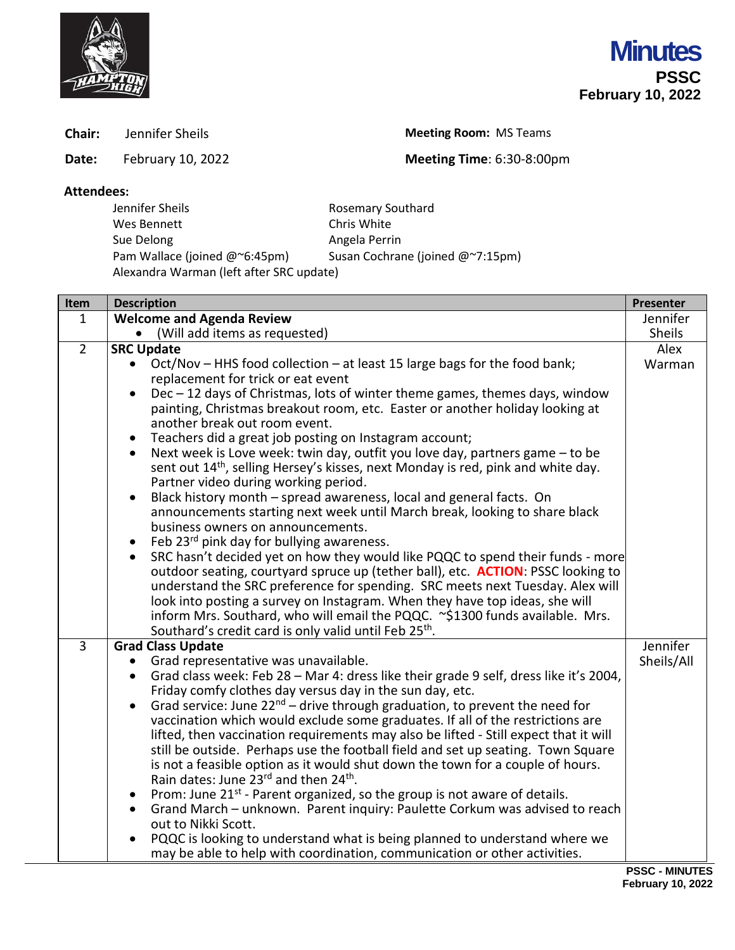

**Chair:** Jennifer Sheils **Meeting Room:** MS Teams

**Date:** February 10, 2022 **Meeting Time**: 6:30-8:00pm

## **Attendees:**

| Jennifer Sheils                          | <b>Rosemary Southard</b>         |  |
|------------------------------------------|----------------------------------|--|
| Wes Bennett                              | Chris White                      |  |
| Sue Delong                               | Angela Perrin                    |  |
| Pam Wallace (joined @~6:45pm)            | Susan Cochrane (joined @~7:15pm) |  |
| Alexandra Warman (left after SRC update) |                                  |  |

| <b>Welcome and Agenda Review</b><br>Jennifer<br>$\mathbf{1}$<br>• (Will add items as requested)<br><b>Sheils</b><br>$\overline{2}$<br><b>SRC Update</b><br>Alex<br>Oct/Nov - HHS food collection - at least 15 large bags for the food bank;<br>Warman<br>replacement for trick or eat event<br>Dec - 12 days of Christmas, lots of winter theme games, themes days, window<br>painting, Christmas breakout room, etc. Easter or another holiday looking at<br>another break out room event.<br>Teachers did a great job posting on Instagram account;<br>Next week is Love week: twin day, outfit you love day, partners game - to be<br>$\bullet$<br>sent out 14 <sup>th</sup> , selling Hersey's kisses, next Monday is red, pink and white day.<br>Partner video during working period.<br>Black history month - spread awareness, local and general facts. On<br>announcements starting next week until March break, looking to share black<br>business owners on announcements.<br>Feb 23rd pink day for bullying awareness.<br>SRC hasn't decided yet on how they would like PQQC to spend their funds - more<br>outdoor seating, courtyard spruce up (tether ball), etc. <b>ACTION</b> : PSSC looking to<br>understand the SRC preference for spending. SRC meets next Tuesday. Alex will<br>look into posting a survey on Instagram. When they have top ideas, she will<br>inform Mrs. Southard, who will email the PQQC. ~\$1300 funds available. Mrs.<br>Southard's credit card is only valid until Feb 25th.<br>$\overline{3}$<br>Jennifer<br><b>Grad Class Update</b><br>Grad representative was unavailable.<br>Sheils/All<br>Grad class week: Feb 28 - Mar 4: dress like their grade 9 self, dress like it's 2004,<br>Friday comfy clothes day versus day in the sun day, etc.<br>Grad service: June $22^{nd}$ – drive through graduation, to prevent the need for<br>vaccination which would exclude some graduates. If all of the restrictions are<br>lifted, then vaccination requirements may also be lifted - Still expect that it will<br>still be outside. Perhaps use the football field and set up seating. Town Square<br>is not a feasible option as it would shut down the town for a couple of hours.<br>Rain dates: June 23rd and then 24th.<br>Prom: June 21st - Parent organized, so the group is not aware of details.<br>Grand March - unknown. Parent inquiry: Paulette Corkum was advised to reach<br>$\bullet$ | Item | <b>Description</b> | Presenter             |
|----------------------------------------------------------------------------------------------------------------------------------------------------------------------------------------------------------------------------------------------------------------------------------------------------------------------------------------------------------------------------------------------------------------------------------------------------------------------------------------------------------------------------------------------------------------------------------------------------------------------------------------------------------------------------------------------------------------------------------------------------------------------------------------------------------------------------------------------------------------------------------------------------------------------------------------------------------------------------------------------------------------------------------------------------------------------------------------------------------------------------------------------------------------------------------------------------------------------------------------------------------------------------------------------------------------------------------------------------------------------------------------------------------------------------------------------------------------------------------------------------------------------------------------------------------------------------------------------------------------------------------------------------------------------------------------------------------------------------------------------------------------------------------------------------------------------------------------------------------------------------------------------------------------------------------------------------------------------------------------------------------------------------------------------------------------------------------------------------------------------------------------------------------------------------------------------------------------------------------------------------------------------------------------------------------------------------------------------------------------------------------------------------------------------------------------------------|------|--------------------|-----------------------|
|                                                                                                                                                                                                                                                                                                                                                                                                                                                                                                                                                                                                                                                                                                                                                                                                                                                                                                                                                                                                                                                                                                                                                                                                                                                                                                                                                                                                                                                                                                                                                                                                                                                                                                                                                                                                                                                                                                                                                                                                                                                                                                                                                                                                                                                                                                                                                                                                                                                    |      |                    |                       |
|                                                                                                                                                                                                                                                                                                                                                                                                                                                                                                                                                                                                                                                                                                                                                                                                                                                                                                                                                                                                                                                                                                                                                                                                                                                                                                                                                                                                                                                                                                                                                                                                                                                                                                                                                                                                                                                                                                                                                                                                                                                                                                                                                                                                                                                                                                                                                                                                                                                    |      |                    |                       |
|                                                                                                                                                                                                                                                                                                                                                                                                                                                                                                                                                                                                                                                                                                                                                                                                                                                                                                                                                                                                                                                                                                                                                                                                                                                                                                                                                                                                                                                                                                                                                                                                                                                                                                                                                                                                                                                                                                                                                                                                                                                                                                                                                                                                                                                                                                                                                                                                                                                    |      |                    |                       |
|                                                                                                                                                                                                                                                                                                                                                                                                                                                                                                                                                                                                                                                                                                                                                                                                                                                                                                                                                                                                                                                                                                                                                                                                                                                                                                                                                                                                                                                                                                                                                                                                                                                                                                                                                                                                                                                                                                                                                                                                                                                                                                                                                                                                                                                                                                                                                                                                                                                    |      |                    |                       |
|                                                                                                                                                                                                                                                                                                                                                                                                                                                                                                                                                                                                                                                                                                                                                                                                                                                                                                                                                                                                                                                                                                                                                                                                                                                                                                                                                                                                                                                                                                                                                                                                                                                                                                                                                                                                                                                                                                                                                                                                                                                                                                                                                                                                                                                                                                                                                                                                                                                    |      |                    |                       |
|                                                                                                                                                                                                                                                                                                                                                                                                                                                                                                                                                                                                                                                                                                                                                                                                                                                                                                                                                                                                                                                                                                                                                                                                                                                                                                                                                                                                                                                                                                                                                                                                                                                                                                                                                                                                                                                                                                                                                                                                                                                                                                                                                                                                                                                                                                                                                                                                                                                    |      |                    |                       |
|                                                                                                                                                                                                                                                                                                                                                                                                                                                                                                                                                                                                                                                                                                                                                                                                                                                                                                                                                                                                                                                                                                                                                                                                                                                                                                                                                                                                                                                                                                                                                                                                                                                                                                                                                                                                                                                                                                                                                                                                                                                                                                                                                                                                                                                                                                                                                                                                                                                    |      |                    |                       |
|                                                                                                                                                                                                                                                                                                                                                                                                                                                                                                                                                                                                                                                                                                                                                                                                                                                                                                                                                                                                                                                                                                                                                                                                                                                                                                                                                                                                                                                                                                                                                                                                                                                                                                                                                                                                                                                                                                                                                                                                                                                                                                                                                                                                                                                                                                                                                                                                                                                    |      |                    |                       |
|                                                                                                                                                                                                                                                                                                                                                                                                                                                                                                                                                                                                                                                                                                                                                                                                                                                                                                                                                                                                                                                                                                                                                                                                                                                                                                                                                                                                                                                                                                                                                                                                                                                                                                                                                                                                                                                                                                                                                                                                                                                                                                                                                                                                                                                                                                                                                                                                                                                    |      |                    |                       |
|                                                                                                                                                                                                                                                                                                                                                                                                                                                                                                                                                                                                                                                                                                                                                                                                                                                                                                                                                                                                                                                                                                                                                                                                                                                                                                                                                                                                                                                                                                                                                                                                                                                                                                                                                                                                                                                                                                                                                                                                                                                                                                                                                                                                                                                                                                                                                                                                                                                    |      |                    |                       |
|                                                                                                                                                                                                                                                                                                                                                                                                                                                                                                                                                                                                                                                                                                                                                                                                                                                                                                                                                                                                                                                                                                                                                                                                                                                                                                                                                                                                                                                                                                                                                                                                                                                                                                                                                                                                                                                                                                                                                                                                                                                                                                                                                                                                                                                                                                                                                                                                                                                    |      |                    |                       |
|                                                                                                                                                                                                                                                                                                                                                                                                                                                                                                                                                                                                                                                                                                                                                                                                                                                                                                                                                                                                                                                                                                                                                                                                                                                                                                                                                                                                                                                                                                                                                                                                                                                                                                                                                                                                                                                                                                                                                                                                                                                                                                                                                                                                                                                                                                                                                                                                                                                    |      |                    |                       |
|                                                                                                                                                                                                                                                                                                                                                                                                                                                                                                                                                                                                                                                                                                                                                                                                                                                                                                                                                                                                                                                                                                                                                                                                                                                                                                                                                                                                                                                                                                                                                                                                                                                                                                                                                                                                                                                                                                                                                                                                                                                                                                                                                                                                                                                                                                                                                                                                                                                    |      |                    |                       |
|                                                                                                                                                                                                                                                                                                                                                                                                                                                                                                                                                                                                                                                                                                                                                                                                                                                                                                                                                                                                                                                                                                                                                                                                                                                                                                                                                                                                                                                                                                                                                                                                                                                                                                                                                                                                                                                                                                                                                                                                                                                                                                                                                                                                                                                                                                                                                                                                                                                    |      |                    |                       |
|                                                                                                                                                                                                                                                                                                                                                                                                                                                                                                                                                                                                                                                                                                                                                                                                                                                                                                                                                                                                                                                                                                                                                                                                                                                                                                                                                                                                                                                                                                                                                                                                                                                                                                                                                                                                                                                                                                                                                                                                                                                                                                                                                                                                                                                                                                                                                                                                                                                    |      |                    |                       |
|                                                                                                                                                                                                                                                                                                                                                                                                                                                                                                                                                                                                                                                                                                                                                                                                                                                                                                                                                                                                                                                                                                                                                                                                                                                                                                                                                                                                                                                                                                                                                                                                                                                                                                                                                                                                                                                                                                                                                                                                                                                                                                                                                                                                                                                                                                                                                                                                                                                    |      |                    |                       |
|                                                                                                                                                                                                                                                                                                                                                                                                                                                                                                                                                                                                                                                                                                                                                                                                                                                                                                                                                                                                                                                                                                                                                                                                                                                                                                                                                                                                                                                                                                                                                                                                                                                                                                                                                                                                                                                                                                                                                                                                                                                                                                                                                                                                                                                                                                                                                                                                                                                    |      |                    |                       |
|                                                                                                                                                                                                                                                                                                                                                                                                                                                                                                                                                                                                                                                                                                                                                                                                                                                                                                                                                                                                                                                                                                                                                                                                                                                                                                                                                                                                                                                                                                                                                                                                                                                                                                                                                                                                                                                                                                                                                                                                                                                                                                                                                                                                                                                                                                                                                                                                                                                    |      |                    |                       |
|                                                                                                                                                                                                                                                                                                                                                                                                                                                                                                                                                                                                                                                                                                                                                                                                                                                                                                                                                                                                                                                                                                                                                                                                                                                                                                                                                                                                                                                                                                                                                                                                                                                                                                                                                                                                                                                                                                                                                                                                                                                                                                                                                                                                                                                                                                                                                                                                                                                    |      |                    |                       |
|                                                                                                                                                                                                                                                                                                                                                                                                                                                                                                                                                                                                                                                                                                                                                                                                                                                                                                                                                                                                                                                                                                                                                                                                                                                                                                                                                                                                                                                                                                                                                                                                                                                                                                                                                                                                                                                                                                                                                                                                                                                                                                                                                                                                                                                                                                                                                                                                                                                    |      |                    |                       |
|                                                                                                                                                                                                                                                                                                                                                                                                                                                                                                                                                                                                                                                                                                                                                                                                                                                                                                                                                                                                                                                                                                                                                                                                                                                                                                                                                                                                                                                                                                                                                                                                                                                                                                                                                                                                                                                                                                                                                                                                                                                                                                                                                                                                                                                                                                                                                                                                                                                    |      |                    |                       |
|                                                                                                                                                                                                                                                                                                                                                                                                                                                                                                                                                                                                                                                                                                                                                                                                                                                                                                                                                                                                                                                                                                                                                                                                                                                                                                                                                                                                                                                                                                                                                                                                                                                                                                                                                                                                                                                                                                                                                                                                                                                                                                                                                                                                                                                                                                                                                                                                                                                    |      |                    |                       |
|                                                                                                                                                                                                                                                                                                                                                                                                                                                                                                                                                                                                                                                                                                                                                                                                                                                                                                                                                                                                                                                                                                                                                                                                                                                                                                                                                                                                                                                                                                                                                                                                                                                                                                                                                                                                                                                                                                                                                                                                                                                                                                                                                                                                                                                                                                                                                                                                                                                    |      |                    |                       |
|                                                                                                                                                                                                                                                                                                                                                                                                                                                                                                                                                                                                                                                                                                                                                                                                                                                                                                                                                                                                                                                                                                                                                                                                                                                                                                                                                                                                                                                                                                                                                                                                                                                                                                                                                                                                                                                                                                                                                                                                                                                                                                                                                                                                                                                                                                                                                                                                                                                    |      |                    |                       |
|                                                                                                                                                                                                                                                                                                                                                                                                                                                                                                                                                                                                                                                                                                                                                                                                                                                                                                                                                                                                                                                                                                                                                                                                                                                                                                                                                                                                                                                                                                                                                                                                                                                                                                                                                                                                                                                                                                                                                                                                                                                                                                                                                                                                                                                                                                                                                                                                                                                    |      |                    |                       |
|                                                                                                                                                                                                                                                                                                                                                                                                                                                                                                                                                                                                                                                                                                                                                                                                                                                                                                                                                                                                                                                                                                                                                                                                                                                                                                                                                                                                                                                                                                                                                                                                                                                                                                                                                                                                                                                                                                                                                                                                                                                                                                                                                                                                                                                                                                                                                                                                                                                    |      |                    |                       |
|                                                                                                                                                                                                                                                                                                                                                                                                                                                                                                                                                                                                                                                                                                                                                                                                                                                                                                                                                                                                                                                                                                                                                                                                                                                                                                                                                                                                                                                                                                                                                                                                                                                                                                                                                                                                                                                                                                                                                                                                                                                                                                                                                                                                                                                                                                                                                                                                                                                    |      |                    |                       |
|                                                                                                                                                                                                                                                                                                                                                                                                                                                                                                                                                                                                                                                                                                                                                                                                                                                                                                                                                                                                                                                                                                                                                                                                                                                                                                                                                                                                                                                                                                                                                                                                                                                                                                                                                                                                                                                                                                                                                                                                                                                                                                                                                                                                                                                                                                                                                                                                                                                    |      |                    |                       |
|                                                                                                                                                                                                                                                                                                                                                                                                                                                                                                                                                                                                                                                                                                                                                                                                                                                                                                                                                                                                                                                                                                                                                                                                                                                                                                                                                                                                                                                                                                                                                                                                                                                                                                                                                                                                                                                                                                                                                                                                                                                                                                                                                                                                                                                                                                                                                                                                                                                    |      |                    |                       |
|                                                                                                                                                                                                                                                                                                                                                                                                                                                                                                                                                                                                                                                                                                                                                                                                                                                                                                                                                                                                                                                                                                                                                                                                                                                                                                                                                                                                                                                                                                                                                                                                                                                                                                                                                                                                                                                                                                                                                                                                                                                                                                                                                                                                                                                                                                                                                                                                                                                    |      |                    |                       |
|                                                                                                                                                                                                                                                                                                                                                                                                                                                                                                                                                                                                                                                                                                                                                                                                                                                                                                                                                                                                                                                                                                                                                                                                                                                                                                                                                                                                                                                                                                                                                                                                                                                                                                                                                                                                                                                                                                                                                                                                                                                                                                                                                                                                                                                                                                                                                                                                                                                    |      |                    |                       |
|                                                                                                                                                                                                                                                                                                                                                                                                                                                                                                                                                                                                                                                                                                                                                                                                                                                                                                                                                                                                                                                                                                                                                                                                                                                                                                                                                                                                                                                                                                                                                                                                                                                                                                                                                                                                                                                                                                                                                                                                                                                                                                                                                                                                                                                                                                                                                                                                                                                    |      |                    |                       |
|                                                                                                                                                                                                                                                                                                                                                                                                                                                                                                                                                                                                                                                                                                                                                                                                                                                                                                                                                                                                                                                                                                                                                                                                                                                                                                                                                                                                                                                                                                                                                                                                                                                                                                                                                                                                                                                                                                                                                                                                                                                                                                                                                                                                                                                                                                                                                                                                                                                    |      |                    |                       |
| out to Nikki Scott.                                                                                                                                                                                                                                                                                                                                                                                                                                                                                                                                                                                                                                                                                                                                                                                                                                                                                                                                                                                                                                                                                                                                                                                                                                                                                                                                                                                                                                                                                                                                                                                                                                                                                                                                                                                                                                                                                                                                                                                                                                                                                                                                                                                                                                                                                                                                                                                                                                |      |                    |                       |
| PQQC is looking to understand what is being planned to understand where we                                                                                                                                                                                                                                                                                                                                                                                                                                                                                                                                                                                                                                                                                                                                                                                                                                                                                                                                                                                                                                                                                                                                                                                                                                                                                                                                                                                                                                                                                                                                                                                                                                                                                                                                                                                                                                                                                                                                                                                                                                                                                                                                                                                                                                                                                                                                                                         |      |                    |                       |
| may be able to help with coordination, communication or other activities.                                                                                                                                                                                                                                                                                                                                                                                                                                                                                                                                                                                                                                                                                                                                                                                                                                                                                                                                                                                                                                                                                                                                                                                                                                                                                                                                                                                                                                                                                                                                                                                                                                                                                                                                                                                                                                                                                                                                                                                                                                                                                                                                                                                                                                                                                                                                                                          |      |                    | <b>PSSC - MINUTES</b> |